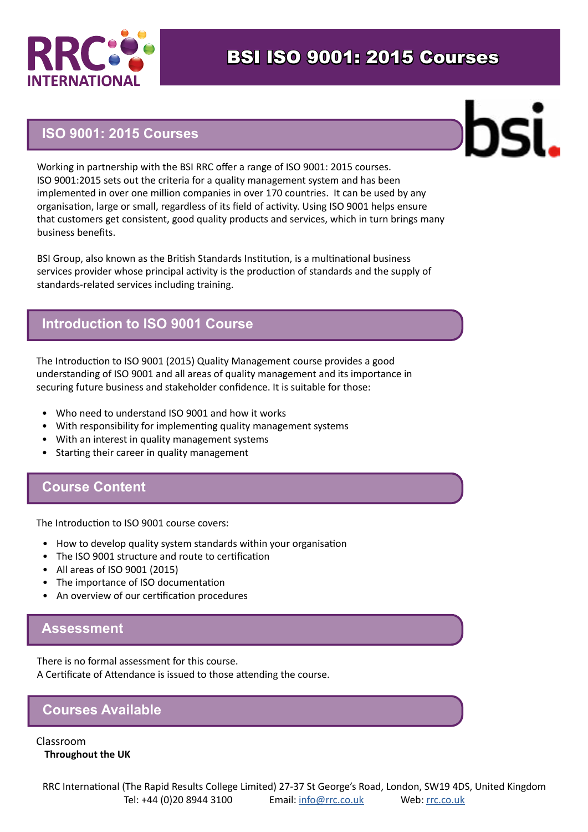

## BSI ISO 9001: 2015 Courses

#### **ISO 9001: 2015 Courses**



Working in partnership with the BSI RRC offer a range of ISO 9001: 2015 courses. ISO 9001:2015 sets out the criteria for a quality management system and has been implemented in over one million companies in over 170 countries. It can be used by any organisation, large or small, regardless of its field of activity. Using ISO 9001 helps ensure that customers get consistent, good quality products and services, which in turn brings many business benefits.

BSI Group, also known as the British Standards Institution, is a multinational business services provider whose principal activity is the production of standards and the supply of standards-related services including training.

#### **Introduction to ISO 9001 Course**

The Introduction to ISO 9001 (2015) Quality Management course provides a good understanding of ISO 9001 and all areas of quality management and its importance in securing future business and stakeholder confidence. It is suitable for those:

- Who need to understand ISO 9001 and how it works
- With responsibility for implementing quality management systems
- With an interest in quality management systems
- Starting their career in quality management

#### **Course Content**

The Introduction to ISO 9001 course covers:

- How to develop quality system standards within your organisation
- The ISO 9001 structure and route to certification
- All areas of ISO 9001 (2015)
- The importance of ISO documentation
- An overview of our certification procedures

### **Assessment**

There is no formal assessment for this course. A Certificate of Attendance is issued to those attending the course.

### **Courses Available**

Classroom **Throughout the UK**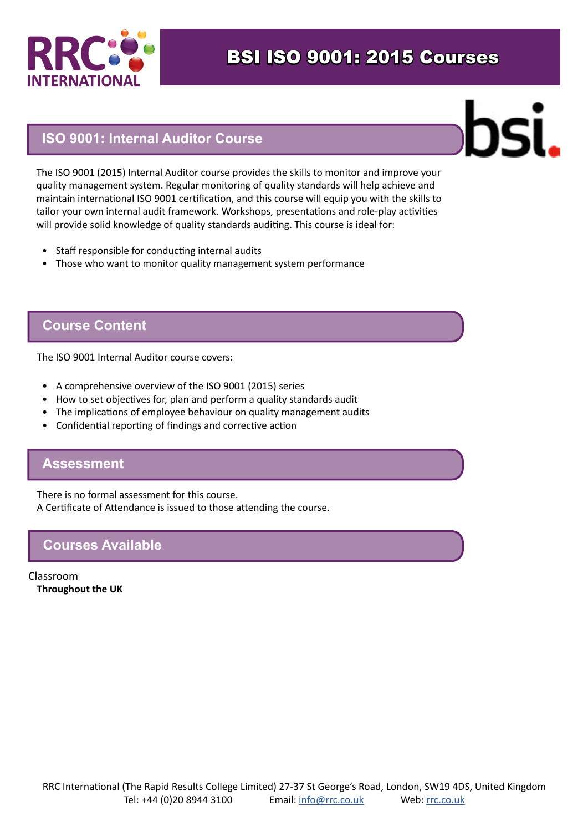

#### **ISO 9001: Internal Auditor Course**



The ISO 9001 (2015) Internal Auditor course provides the skills to monitor and improve your quality management system. Regular monitoring of quality standards will help achieve and maintain international ISO 9001 certification, and this course will equip you with the skills to tailor your own internal audit framework. Workshops, presentations and role-play activities will provide solid knowledge of quality standards auditing. This course is ideal for:

- Staff responsible for conducting internal audits
- Those who want to monitor quality management system performance

#### **Course Content**

The ISO 9001 Internal Auditor course covers:

- A comprehensive overview of the ISO 9001 (2015) series
- How to set objectives for, plan and perform a quality standards audit
- The implications of employee behaviour on quality management audits
- Confidential reporting of findings and corrective action

#### **Assessment**

There is no formal assessment for this course. A Certificate of Attendance is issued to those attending the course.

#### **Courses Available**

Classroom **Throughout the UK**